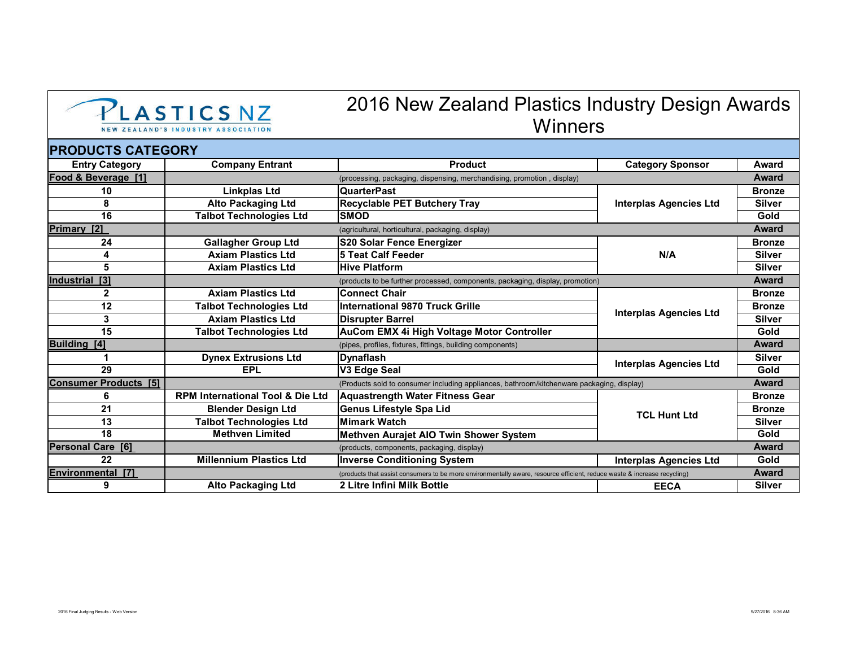

## 2016 New Zealand Plastics Industry Design Awards **Winners**

## **PRODUCTS CATEGORY**

| <b>Entry Category</b>        | <b>Company Entrant</b>                      | <b>Product</b>                                                                                                                           | <b>Category Sponsor</b>       | Award         |  |  |
|------------------------------|---------------------------------------------|------------------------------------------------------------------------------------------------------------------------------------------|-------------------------------|---------------|--|--|
| Food & Beverage [1]          |                                             | Award<br>(processing, packaging, dispensing, merchandising, promotion, display)                                                          |                               |               |  |  |
| 10                           | Linkplas Ltd                                | <b>QuarterPast</b>                                                                                                                       | <b>Interplas Agencies Ltd</b> | <b>Bronze</b> |  |  |
| 8                            | <b>Alto Packaging Ltd</b>                   | <b>Recyclable PET Butchery Tray</b>                                                                                                      |                               | <b>Silver</b> |  |  |
| 16                           | <b>Talbot Technologies Ltd</b>              | <b>SMOD</b>                                                                                                                              |                               | Gold          |  |  |
| Primary [2]                  |                                             | (agricultural, horticultural, packaging, display)                                                                                        |                               | Award         |  |  |
| 24                           | <b>Gallagher Group Ltd</b>                  | <b>S20 Solar Fence Energizer</b>                                                                                                         | N/A                           | <b>Bronze</b> |  |  |
| 4                            | <b>Axiam Plastics Ltd</b>                   | <b>5 Teat Calf Feeder</b>                                                                                                                |                               | <b>Silver</b> |  |  |
| 5                            | <b>Axiam Plastics Ltd</b>                   | <b>Hive Platform</b>                                                                                                                     |                               | <b>Silver</b> |  |  |
| Industrial [3]               |                                             | Award<br>(products to be further processed, components, packaging, display, promotion)                                                   |                               |               |  |  |
| 2                            | <b>Axiam Plastics Ltd</b>                   | <b>Connect Chair</b>                                                                                                                     | <b>Interplas Agencies Ltd</b> | <b>Bronze</b> |  |  |
| 12                           | <b>Talbot Technologies Ltd</b>              | International 9870 Truck Grille                                                                                                          |                               | <b>Bronze</b> |  |  |
| 3                            | <b>Axiam Plastics Ltd</b>                   | <b>Disrupter Barrel</b>                                                                                                                  |                               | <b>Silver</b> |  |  |
| 15                           | <b>Talbot Technologies Ltd</b>              | AuCom EMX 4i High Voltage Motor Controller                                                                                               |                               | Gold          |  |  |
| <b>Building [4]</b>          |                                             | (pipes, profiles, fixtures, fittings, building components)                                                                               |                               | <b>Award</b>  |  |  |
|                              | <b>Dynex Extrusions Ltd</b>                 | Dynaflash                                                                                                                                | <b>Interplas Agencies Ltd</b> | <b>Silver</b> |  |  |
| 29                           | <b>EPL</b>                                  | V3 Edge Seal                                                                                                                             |                               | Gold          |  |  |
| <b>Consumer Products [5]</b> |                                             | <b>Award</b><br>(Products sold to consumer including appliances, bathroom/kitchenware packaging, display)                                |                               |               |  |  |
| 6                            | <b>RPM International Tool &amp; Die Ltd</b> | Aquastrength Water Fitness Gear                                                                                                          | <b>TCL Hunt Ltd</b>           | <b>Bronze</b> |  |  |
| 21                           | <b>Blender Design Ltd</b>                   | Genus Lifestyle Spa Lid                                                                                                                  |                               | <b>Bronze</b> |  |  |
| 13                           | <b>Talbot Technologies Ltd</b>              | <b>Mimark Watch</b>                                                                                                                      |                               | <b>Silver</b> |  |  |
| 18                           | <b>Methven Limited</b>                      | Methven Aurajet AIO Twin Shower System                                                                                                   |                               | Gold          |  |  |
| <b>Personal Care [6]</b>     |                                             | (products, components, packaging, display)                                                                                               |                               | Award         |  |  |
| 22                           | <b>Millennium Plastics Ltd</b>              | <b>Inverse Conditioning System</b>                                                                                                       | <b>Interplas Agencies Ltd</b> | Gold          |  |  |
| Environmental<br><b>T71</b>  |                                             | <b>Award</b><br>(products that assist consumers to be more environmentally aware, resource efficient, reduce waste & increase recycling) |                               |               |  |  |
| 9                            | <b>Alto Packaging Ltd</b>                   | 2 Litre Infini Milk Bottle                                                                                                               | <b>EECA</b>                   | <b>Silver</b> |  |  |